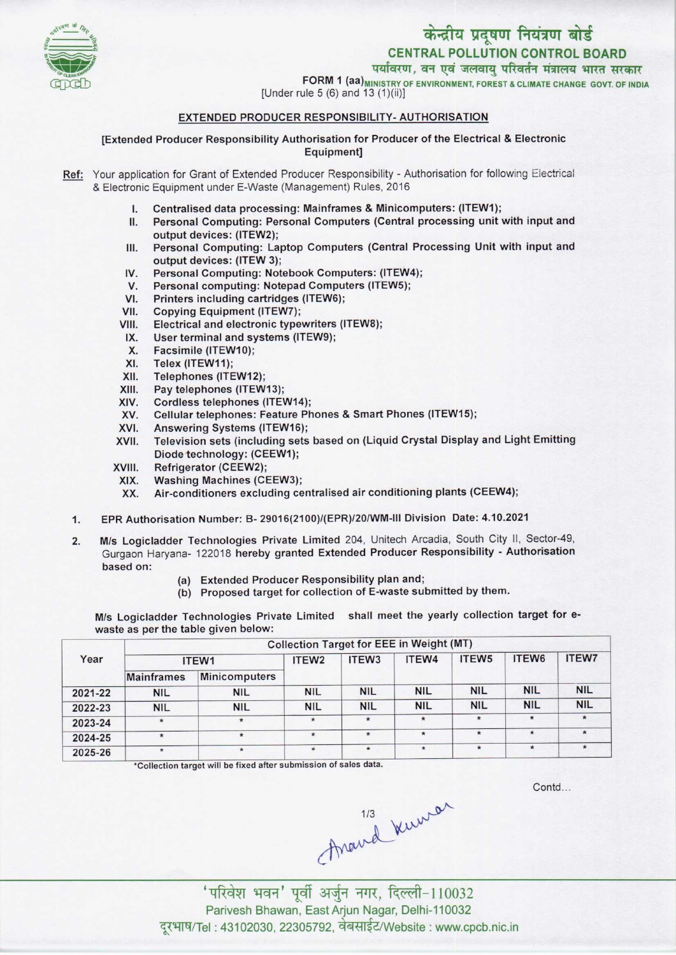



FORM 1 (aa) MINISTRY OF ENVIRONMENT, FOREST & CLIMATE CHANGE GOVT. OF INDIA

[Under rule 5 (6) and 13  $(1)(ii)$ ]

## EXTENDED PRODUCER RESPONSIBILITY- AUTHORISATION

[Extended Producer Responsibility Authorisation for Producer of the Electrical & Electronic Equipment]

- Ref: Your application for Grant of Extended Producer Responsibility Authorisation for following Electrical & Electronic Equipment under E-Waste (Management) Rules, 2016
	- I. Centralised data processing: Mainframes & Minicomputers: (ITEW1);
	- II. Personal Computing: Personal Computers(Central processing unit with input and output devices: (ITEW2);
	- III. Personal Computing: Laptop Computers (Central Processing Unit with input and output devices: (ITEW 3); III. Personal Computing: Laptop Computers (Central P)<br>
	output devices: (ITEW 3);<br>
	IV. Personal Computing: Notebook Computers: (ITEW4);<br>
	Y. Personal computing: Notebook Computers (ITEW5);
	- output devices: (ITEW 3);<br>V. Personal Computing: Notebook Computers: (ITEW<br>V. Personal computing: Notepad Computers (ITEW5);<br>I. Printers including cartridges (ITEW6);
	- IV. Personal Computing: Notebook Computers: (ITEW4<br>V. Personal computing: Notepad Computers (ITEW5);<br>VI. Printers including cartridges (ITEW6);<br>VII. Copying Equipment (ITEW7);
	- VI. Printers including cartridges (ITEW6);<br>VII. Copying Equipment (ITEW7);<br>VIII. Electrical and electronic typewriters (I
	-
	- VI. Printers including cartridges (ITEW6);<br>VII. Copying Equipment (ITEW7);<br>VIII. Electrical and electronic typewriters (ITEW8); TH. Copying Equipment (ITEW7);<br>III. Electrical and electronic typewriters<br>IX. User terminal and systems (ITEW9);
	- X. User terminal and since<br>X. Facsimile (ITEW10);<br>X. Telex (ITEW11);
	-
	- X. Ser terminal all<br>X. Facsimile (ITEW<br>XI. Telex (ITEW11);<br>XII Telephones (ITI
	- X. Facsimile (ITEW10);<br>XI. Telex (ITEW11);<br>XII. Telephones (ITEW12);<br>XIII. Pav telephones (ITEW
	- XIII. Pay telephones (ITEW13);<br>XIV. Cordless telephones (ITE)
	- XIV. Cordless telephones (ITEW14);<br>XV. Cellular telephones: Feature Ph
	- XIII. Pay telephones (ITEW13);<br>KIV. Cordless telephones (ITEW14);<br>XV. Cellular telephones: Feature Phones & Smart Phones (ITEW15);<br>XVI. Anoussing Sustams (ITEW16); XIV. Coldiess telephones (ITEW14)<br>XV. Cellular telephones: Feature P<br>XVI. Television sets (including sets)
	-
	- XVI. Answering Systems (ITEW16);<br>XVII. Television sets (including sets based on (Liquid Crystal Display and Light Emitting Diode technology: (CEEW1);
	- XVIII. Refrigerator (CEEW2);<br>XIX. Washing Machines (CI
	- XIX. Washing Machines (CEEW3);<br>XX. Air-conditioners excluding ce
	- Air-conditioners excluding centralised air conditioning plants (CEEW4);
	- 1.EPR Authorisation Number: B- 29016(2100)/(EPR)/20/WM-lll Division Date: 4.10.2021
	- 2. M/s Logicladder Technologies Private Limited 204, Unitech Arcadia, South City II, Sector-49, Gurgaon Haryana- 122018 hereby granted Extended Producer Responsibility - Authorisation based on:
		- (a)Extended Producer Responsibility plan and;
		- (b) Proposed target for collection of E-waste submitted by them.

M/s Logicladder Technologies Private Limited shall meet the yearly collection target for ewaste as per the table given below:

| Year    | <b>Collection Target for EEE in Weight (MT)</b> |               |                   |                   |            |                   |                   |              |  |  |
|---------|-------------------------------------------------|---------------|-------------------|-------------------|------------|-------------------|-------------------|--------------|--|--|
|         | ITEW1                                           |               | ITEW <sub>2</sub> | ITEW <sub>3</sub> | ITEW4      | ITEW <sub>5</sub> | ITEW <sub>6</sub> | <b>ITEW7</b> |  |  |
|         | <b>Mainframes</b>                               | Minicomputers |                   |                   |            |                   |                   |              |  |  |
| 2021-22 | <b>NIL</b>                                      | <b>NIL</b>    | <b>NIL</b>        | <b>NIL</b>        | <b>NIL</b> | <b>NIL</b>        | <b>NIL</b>        | <b>NIL</b>   |  |  |
| 2022-23 | <b>NIL</b>                                      | <b>NIL</b>    | <b>NIL</b>        | <b>NIL</b>        | <b>NIL</b> | <b>NIL</b>        | <b>NIL</b>        | <b>NIL</b>   |  |  |
| 2023-24 | $\star$                                         | $\star$       | $\star$           | $\star$           | $\star$    | $\star$           | $\star$           | $\star$      |  |  |
| 2024-25 | $\star$                                         | $\star$       | $\star$           | $\star$           | $\star$    | $\star$           | $\star$           | $\star$      |  |  |
| 2025-26 | $\star$                                         | $\star$       | $\star$           | $\star$           | $\star$    | $\star$           | $\star$           | $\star$      |  |  |

\*Collection target will be fixed after submission of sales data.

Contd...

Anavid Kuwar

'परिवेश भवन' पूर्वी अर्जुन नगर, दिल्ली-110032 Parivesh Bhawan, East Arjun Nagar, Delhi-110032 दुरभाष/Tel : 43102030, 22305792, वेबसाईट/Website : www.cpcb.nic.in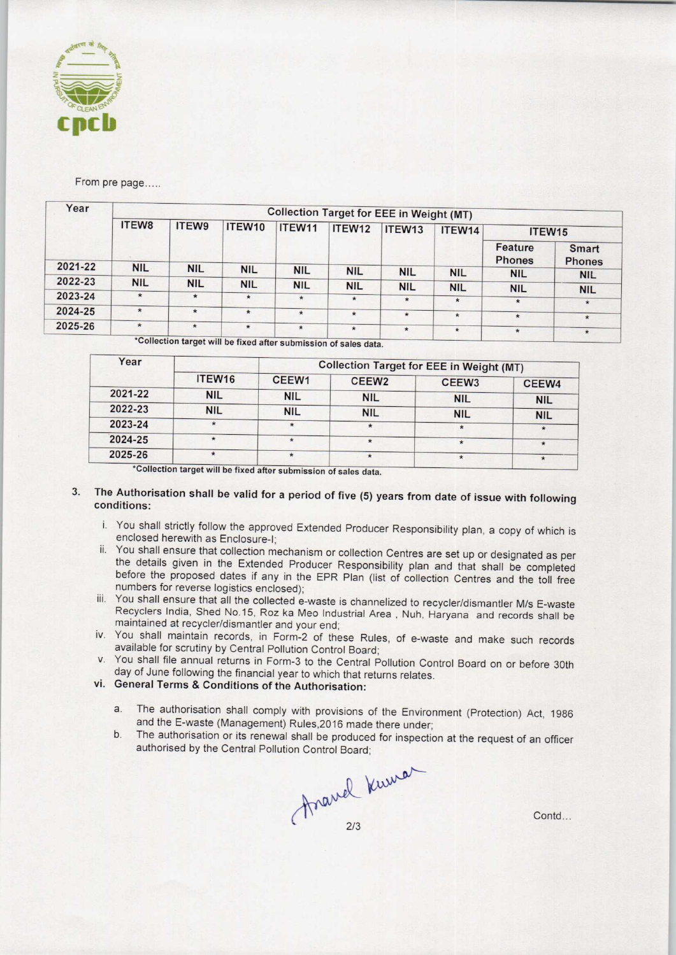

From pre page.....

| ITEW8      | ITEW9      | ITEW10     | ITEW11     | ITEW12     | ITEW13     | ITEW14                | ITEW15                                                                                            |                                     |  |  |
|------------|------------|------------|------------|------------|------------|-----------------------|---------------------------------------------------------------------------------------------------|-------------------------------------|--|--|
|            |            |            |            |            |            |                       | Feature<br><b>Phones</b>                                                                          | <b>Smart</b><br><b>Phones</b>       |  |  |
|            |            | <b>NIL</b> | <b>NIL</b> | <b>NIL</b> | <b>NIL</b> |                       |                                                                                                   | <b>NIL</b>                          |  |  |
| <b>NIL</b> | <b>NIL</b> | <b>NIL</b> | <b>NIL</b> | <b>NIL</b> |            |                       |                                                                                                   | <b>NIL</b>                          |  |  |
| $\star$    | $\star$    | $\star$    | $\star$    | $\star$    | $\star$    |                       |                                                                                                   |                                     |  |  |
| $\star$    | $\star$    |            |            |            |            |                       |                                                                                                   | $\star$                             |  |  |
|            |            |            |            |            |            |                       | $\star$                                                                                           | $\star$                             |  |  |
| $\star$    | $\star$    | $\star$    | $\star$    | $\star$    | $\star$    | $\star$               | $\star$                                                                                           | $\star$                             |  |  |
|            | NIL-       | <b>NIL</b> | $\star$    | $\star$    | $\star$    | <b>NIL</b><br>$\star$ | <b>Collection Target for EEE in Weight (MT)</b><br><b>NIL</b><br><b>NIL</b><br>$\star$<br>$\star$ | <b>NIL</b><br><b>NIL</b><br>$\star$ |  |  |

'Collection target will be fixed after submission of sales data.

| Year    |                    |            | <b>Collection Target for EEE in Weight (MT)</b> |                   |            |
|---------|--------------------|------------|-------------------------------------------------|-------------------|------------|
|         | ITEW <sub>16</sub> | CEEW1      | CEEW <sub>2</sub>                               | CEEW <sub>3</sub> | CEEW4      |
| 2021-22 | <b>NIL</b>         | <b>NIL</b> | <b>NIL</b>                                      | <b>NIL</b>        | <b>NIL</b> |
| 2022-23 | <b>NIL</b>         | <b>NIL</b> | <b>NIL</b>                                      | <b>NIL</b>        | <b>NIL</b> |
| 2023-24 | $\mathbf{r}$       | $\star$    |                                                 | $\star$           | $\star$    |
| 2024-25 | $\star$            | $\star$    | $\star$                                         | $\star$           | $\star$    |
| 2025-26 | $\star$            |            | $\star$                                         |                   |            |

'Collection target will be fixed after submission of sales data.

## The Authorisation shall be valid for a period of five (5) years from date of issue with following  $3<sup>1</sup>$ conditions:

- i. You shall strictly follow the approved Extended Producer Responsibility plan, a copy of which is enclosed herewith as Enclosure-I;
- ii. You shall ensure that collection mechanism or collection Centres are set up or designated as per the details given in the Extended Producer Responsibility plan and that shall be completed before the proposed dates if any in the EPR Plan (list of collection Centres and the toll free numbers for reverse logistics enclosed);
- iii. You shall ensure that all the collected e-waste is channelized to recycler/dismantler M/s E-waste Recyclers India, Shed No.15, Roz ka Meo Industrial Area , Nuh, Haryana and records shall be maintained at recycler/dismantler and your end;
- iv. You shall maintain records, in Form-2 of these Rules, of e-waste and make such records available for scrutiny by Central Pollution Control Board;
- v. You shall file annual returns in Form-3 to the Central Pollution Control Board on or before 30th day of June following the financial year to which that returns relates.
- vi. General Terms & Conditions of the Authorisation:
	- a.The authorisation shall comply with provisions of the Environment (Protection) Act, <sup>1986</sup> and the E-waste (Management) Rules,2016 made there under;
	- b. The authorisation or its renewal shall be produced for inspection at the request of an officer authorised by the Central Pollution Control Board;<br>  $\frac{1}{2}$ <br>  $\frac{2}{3}$ authorised by the Central Pollution Control Board;

Contd...